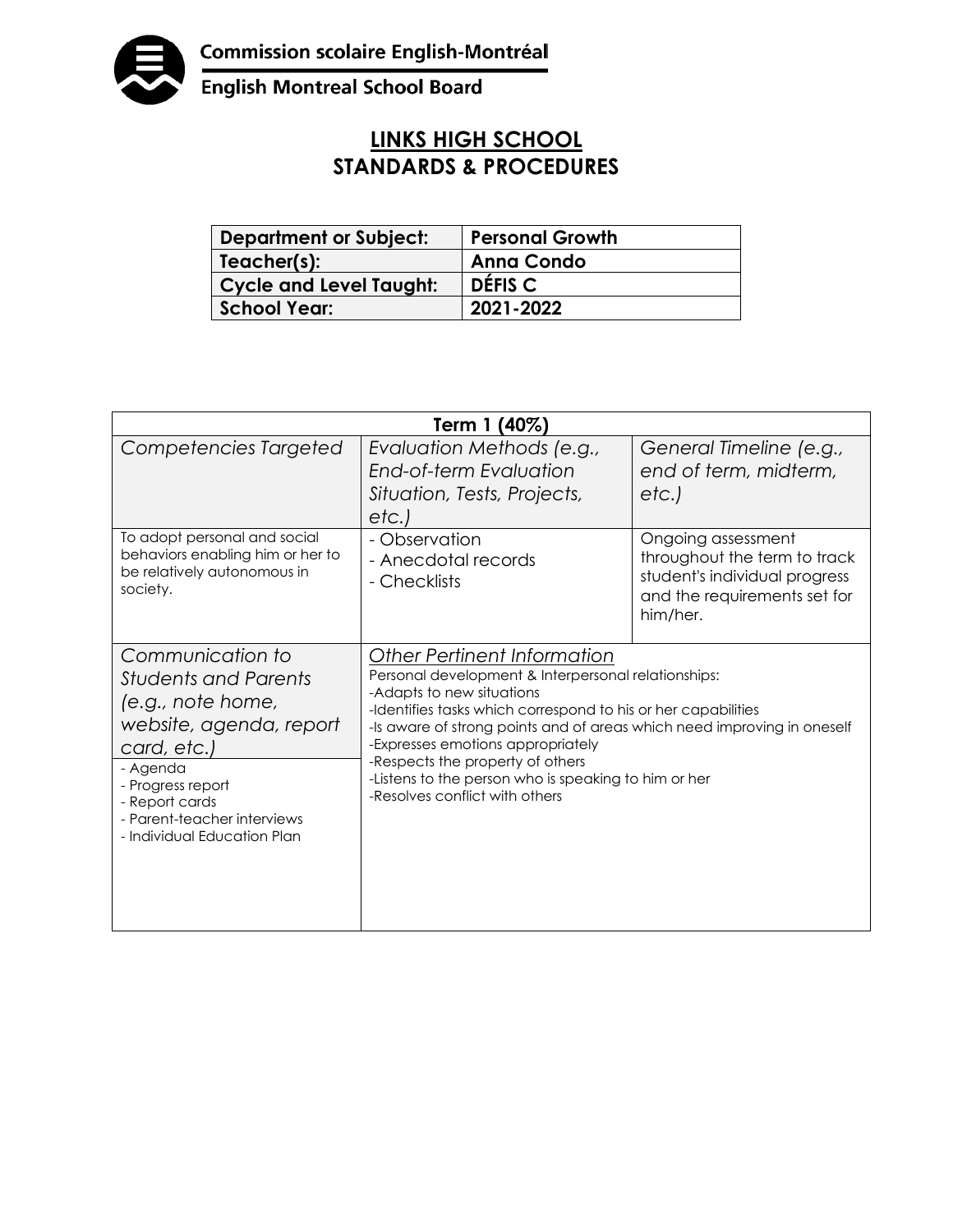

English Montreal School Board

## **LINKS HIGH SCHOOL STANDARDS & PROCEDURES**

| <b>Department or Subject:</b> | <b>Personal Growth</b> |
|-------------------------------|------------------------|
| Teacher(s):                   | <b>Anna Condo</b>      |
| Cycle and Level Taught:       | DÉFIS C                |
| <b>School Year:</b>           | 2021-2022              |

| Term 1 (40%)                                                                                                                                                                                                                    |                                                                                                                                                                                                                                                                                                                                                                                                                                       |                                                                                                                                 |  |  |
|---------------------------------------------------------------------------------------------------------------------------------------------------------------------------------------------------------------------------------|---------------------------------------------------------------------------------------------------------------------------------------------------------------------------------------------------------------------------------------------------------------------------------------------------------------------------------------------------------------------------------------------------------------------------------------|---------------------------------------------------------------------------------------------------------------------------------|--|--|
| Competencies Targeted                                                                                                                                                                                                           | Evaluation Methods (e.g.,<br>End-of-term Evaluation<br>Situation, Tests, Projects,<br>etc.)                                                                                                                                                                                                                                                                                                                                           | General Timeline (e.g.,<br>end of term, midterm,<br>etc.)                                                                       |  |  |
| To adopt personal and social<br>behaviors enabling him or her to<br>be relatively autonomous in<br>society.                                                                                                                     | - Observation<br>- Anecdotal records<br>- Checklists                                                                                                                                                                                                                                                                                                                                                                                  | Ongoing assessment<br>throughout the term to track<br>student's individual progress<br>and the requirements set for<br>him/her. |  |  |
| Communication to<br><b>Students and Parents</b><br>(e.g., note home,<br>website, agenda, report<br>card, etc.)<br>- Agenda<br>- Progress report<br>- Report cards<br>- Parent-teacher interviews<br>- Individual Education Plan | <b>Other Pertinent Information</b><br>Personal development & Interpersonal relationships:<br>-Adapts to new situations<br>-Identifies tasks which correspond to his or her capabilities<br>-Is aware of strong points and of areas which need improving in oneself<br>-Expresses emotions appropriately<br>-Respects the property of others<br>-Listens to the person who is speaking to him or her<br>-Resolves conflict with others |                                                                                                                                 |  |  |